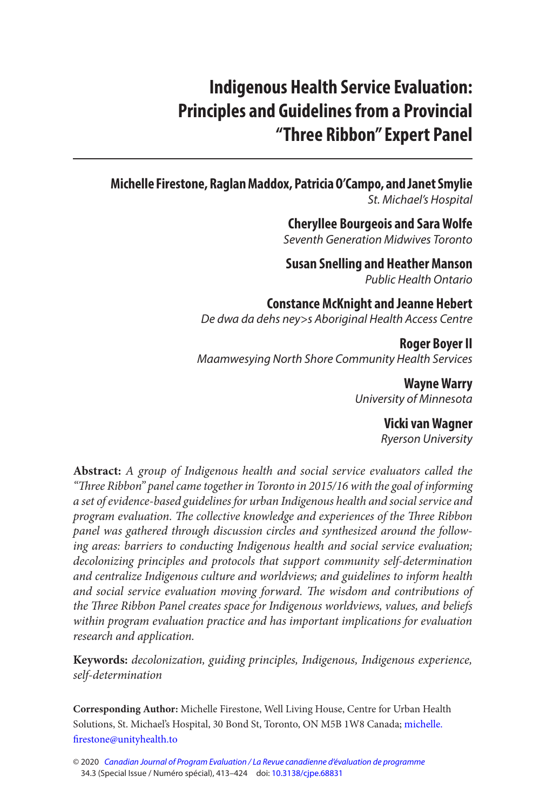# **Indigenous Health Service Evaluation: Principles and Guidelines from a Provincial "Three Ribbon" Expert Panel**

## **Michelle Firestone , Raglan Maddox , Patricia O'Campo , and Janet Smylie**  St. Michael's Hospital

 **Cheryllee Bourgeois and Sara Wolfe**  Seventh Generation Midwives Toronto

 **Susan Snelling and Heather Manson**  Public Health Ontario

**Constance McKnight and Jeanne Hebert**  De dwa da dehs ney>s Aboriginal Health Access Centre

**Roger Boyer II**  Maamwesying North Shore Community Health Services

> **Wayne Warry**  University of Minnesota

> > **Vicki van Wagner**

Ryerson University

**Abstract:** A group of Indigenous health and social service evaluators called the "Three Ribbon" panel came together in Toronto in 2015/16 with the goal of informing a set of evidence-based guidelines for urban Indigenous health and social service and program evaluation. The collective knowledge and experiences of the Three Ribbon panel was gathered through discussion circles and synthesized around the following areas: barriers to conducting Indigenous health and social service evaluation; decolonizing principles and protocols that support community self-determination and centralize Indigenous culture and worldviews; and guidelines to inform health and social service evaluation moving forward. The wisdom and contributions of the Three Ribbon Panel creates space for Indigenous worldviews, values, and beliefs within program evaluation practice and has important implications for evaluation research and application.

**Keywords:** decolonization, guiding principles, Indigenous, Indigenous experience, self-determination

**Corresponding Author:** Michelle Firestone, Well Living House, Centre for Urban Health Solutions, St. Michael's Hospital, 30 Bond St, Toronto, ON M5B 1W8 Canada; michelle. firestone@unityhealth.to

<sup>© 2020</sup> [Canadian Journal of Program Evaluation / La Revue canadienne d'évaluation de programme](https://www.utpjournals.press/loi/cjpe)  34.3 (Special Issue / Numéro spécial), 413–424 doi: [10.3138/cjpe.68831](https://doi.org/10.3138/cjpe.68831)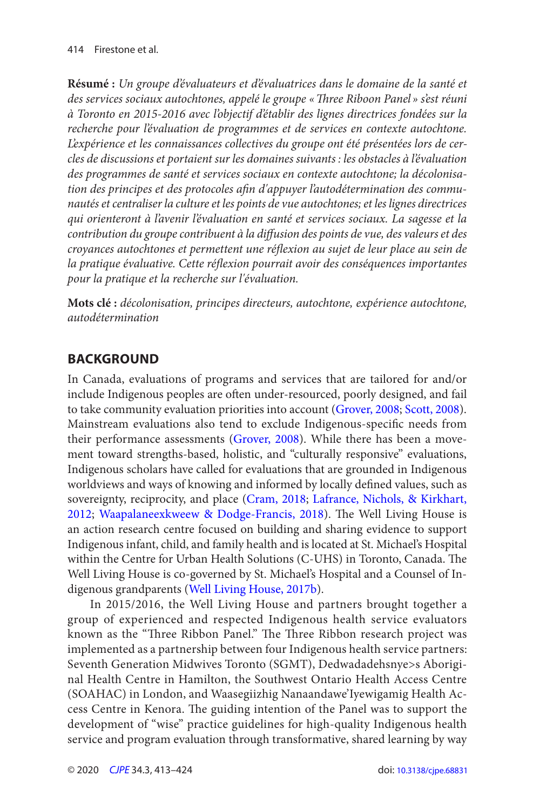<span id="page-1-0"></span>**Résumé :** Un groupe d'évaluateurs et d'évaluatrices dans le domaine de la santé et des services sociaux autochtones, appelé le groupe « Three Riboon Panel » s'est réuni à Toronto en 2015-2016 avec l'objectif d'établir des lignes directrices fondées sur la recherche pour l'évaluation de programmes et de services en contexte autochtone. L'expérience et les connaissances collectives du groupe ont été présentées lors de cercles de discussions et portaient sur les domaines suivants : les obstacles à l'évaluation des programmes de santé et services sociaux en contexte autochtone; la décolonisation des principes et des protocoles afin d'appuyer l'autodétermination des communautés et centraliser la culture et les points de vue autochtones; et les lignes directrices qui orienteront à l'avenir l'évaluation en santé et services sociaux. La sagesse et la contribution du groupe contribuent à la diffusion des points de vue, des valeurs et des croyances autochtones et permettent une réflexion au sujet de leur place au sein de la pratique évaluative. Cette réflexion pourrait avoir des conséquences importantes pour la pratique et la recherche sur l'évaluation.

**Mots clé :** décolonisation, principes directeurs, autochtone, expérience autochtone, autodétermination

## **BACKGROUND**

In Canada, evaluations of programs and services that are tailored for and/or include Indigenous peoples are often under-resourced, poorly designed, and fail to take community evaluation priorities into account [\(Grover, 2008](#page-9-0); [Scott, 2008\)](#page-10-0). Mainstream evaluations also tend to exclude Indigenous-specific needs from their performance assessments ([Grover, 2008](#page-9-0)). While there has been a movement toward strengths-based, holistic, and "culturally responsive" evaluations, Indigenous scholars have called for evaluations that are grounded in Indigenous worldviews and ways of knowing and informed by locally defined values, such as sovereignty, reciprocity, and place ([Cram, 2018;](#page-9-0) [Lafrance, Nichols, & Kirkhart,](#page-10-0) [2012](#page-10-0); [Waapalaneexkweew & Dodge-Francis, 2018](#page-10-0)). The Well Living House is an action research centre focused on building and sharing evidence to support Indigenous infant, child, and family health and is located at St. Michael's Hospital within the Centre for Urban Health Solutions (C-UHS) in Toronto, Canada. The Well Living House is co-governed by St. Michael's Hospital and a Counsel of Indigenous grandparents (Well Living House, 2017b).

In 2015/2016, the Well Living House and partners brought together a group of experienced and respected Indigenous health service evaluators known as the "Three Ribbon Panel." The Three Ribbon research project was implemented as a partnership between four Indigenous health service partners: Seventh Generation Midwives Toronto (SGMT), Dedwadadehsnye>s Aboriginal Health Centre in Hamilton, the Southwest Ontario Health Access Centre (SOAHAC) in London, and Waasegiizhig Nanaandawe'Iyewigamig Health Access Centre in Kenora. The guiding intention of the Panel was to support the development of "wise" practice guidelines for high-quality Indigenous health service and program evaluation through transformative, shared learning by way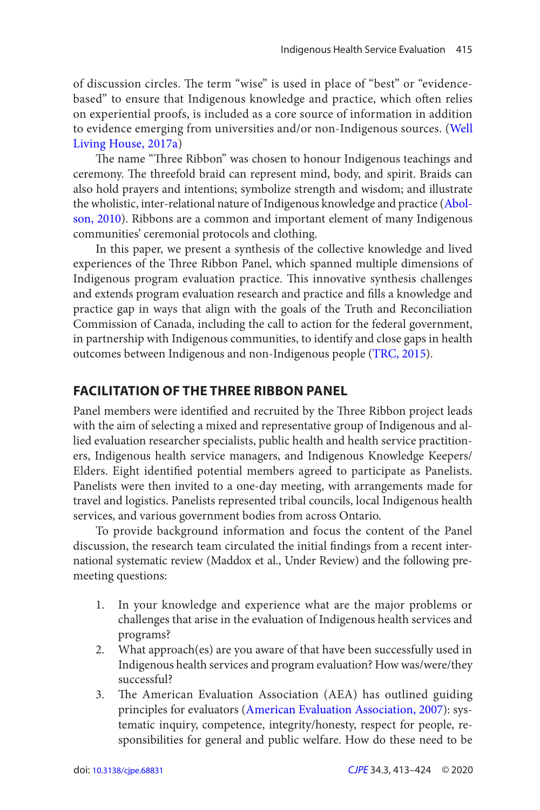<span id="page-2-0"></span>of discussion circles. The term "wise" is used in place of "best" or "evidencebased" to ensure that Indigenous knowledge and practice, which often relies on experiential proofs, is included as a core source of information in addition to evidence emerging from universities and/or non-Indigenous sources. ([Well](#page-10-0)  Living House, 2017a)

 The name "Three Ribbon" was chosen to honour Indigenous teachings and ceremony. The threefold braid can represent mind, body, and spirit. Braids can also hold prayers and intentions; symbolize strength and wisdom; and illustrate the wholistic, inter-relational nature of Indigenous knowledge and practice ([Abol](#page-9-0)[son, 2010](#page-9-0)). Ribbons are a common and important element of many Indigenous communities' ceremonial protocols and clothing.

In this paper, we present a synthesis of the collective knowledge and lived experiences of the Three Ribbon Panel, which spanned multiple dimensions of Indigenous program evaluation practice. This innovative synthesis challenges and extends program evaluation research and practice and fills a knowledge and practice gap in ways that align with the goals of the Truth and Reconciliation Commission of Canada, including the call to action for the federal government, in partnership with Indigenous communities, to identify and close gaps in health outcomes between Indigenous and non-Indigenous people ([TRC, 2015\)](#page-10-0).

## **FACILITATION OF THE THREE RIBBON PANEL**

Panel members were identified and recruited by the Three Ribbon project leads with the aim of selecting a mixed and representative group of Indigenous and allied evaluation researcher specialists, public health and health service practitioners, Indigenous health service managers, and Indigenous Knowledge Keepers/ Elders. Eight identified potential members agreed to participate as Panelists. Panelists were then invited to a one-day meeting, with arrangements made for travel and logistics. Panelists represented tribal councils, local Indigenous health services, and various government bodies from across Ontario.

To provide background information and focus the content of the Panel discussion, the research team circulated the initial findings from a recent international systematic review (Maddox et al., Under Review) and the following premeeting questions:

- 1. In your knowledge and experience what are the major problems or challenges that arise in the evaluation of Indigenous health services and programs?
- 2. What approach(es) are you aware of that have been successfully used in Indigenous health services and program evaluation? How was/were/they successful?
- 3. The American Evaluation Association (AEA) has outlined guiding principles for evaluators [\(American Evaluation Association, 2007](#page-9-0)): systematic inquiry, competence, integrity/honesty, respect for people, responsibilities for general and public welfare. How do these need to be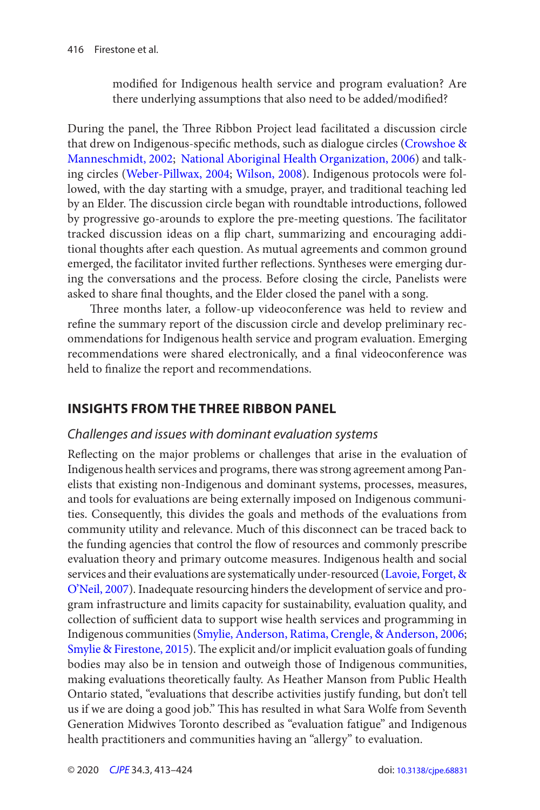<span id="page-3-0"></span>modified for Indigenous health service and program evaluation? Are there underlying assumptions that also need to be added/modified?

During the panel, the Three Ribbon Project lead facilitated a discussion circle that drew on Indigenous-specific methods, such as dialogue circles ([Crowshoe &](#page-9-0)  [Manneschmidt, 2002](#page-9-0); [National Aboriginal Health Organization, 2006](#page-10-0)) and talking circles ([Weber-Pillwax, 2004;](#page-10-0) [Wilson, 2008](#page-10-0)). Indigenous protocols were followed, with the day starting with a smudge, prayer, and traditional teaching led by an Elder. The discussion circle began with roundtable introductions, followed by progressive go-arounds to explore the pre-meeting questions. The facilitator tracked discussion ideas on a flip chart, summarizing and encouraging additional thoughts after each question. As mutual agreements and common ground emerged, the facilitator invited further reflections. Syntheses were emerging during the conversations and the process. Before closing the circle, Panelists were asked to share final thoughts, and the Elder closed the panel with a song.

 Three months later, a follow-up videoconference was held to review and refine the summary report of the discussion circle and develop preliminary recommendations for Indigenous health service and program evaluation. Emerging recommendations were shared electronically, and a final videoconference was held to finalize the report and recommendations.

## **INSIGHTS FROM THE THREE RIBBON PANEL**

#### Challenges and issues with dominant evaluation systems

 Reflecting on the major problems or challenges that arise in the evaluation of Indigenous health services and programs, there was strong agreement among Panelists that existing non-Indigenous and dominant systems, processes, measures, and tools for evaluations are being externally imposed on Indigenous communities. Consequently, this divides the goals and methods of the evaluations from community utility and relevance. Much of this disconnect can be traced back to the funding agencies that control the flow of resources and commonly prescribe evaluation theory and primary outcome measures. Indigenous health and social services and their evaluations are systematically under-resourced (Lavoie, Forget, & [O'Neil, 2007](#page-10-0)). Inadequate resourcing hinders the development of service and program infrastructure and limits capacity for sustainability, evaluation quality, and collection of sufficient data to support wise health services and programming in Indigenous communities ([Smylie, Anderson, Ratima, Crengle, & Anderson, 2006](#page-10-0); [Smylie & Firestone, 2015](#page-10-0)). The explicit and/or implicit evaluation goals of funding bodies may also be in tension and outweigh those of Indigenous communities, making evaluations theoretically faulty. As Heather Manson from Public Health Ontario stated, "evaluations that describe activities justify funding, but don't tell us if we are doing a good job." This has resulted in what Sara Wolfe from Seventh Generation Midwives Toronto described as "evaluation fatigue" and Indigenous health practitioners and communities having an "allergy" to evaluation.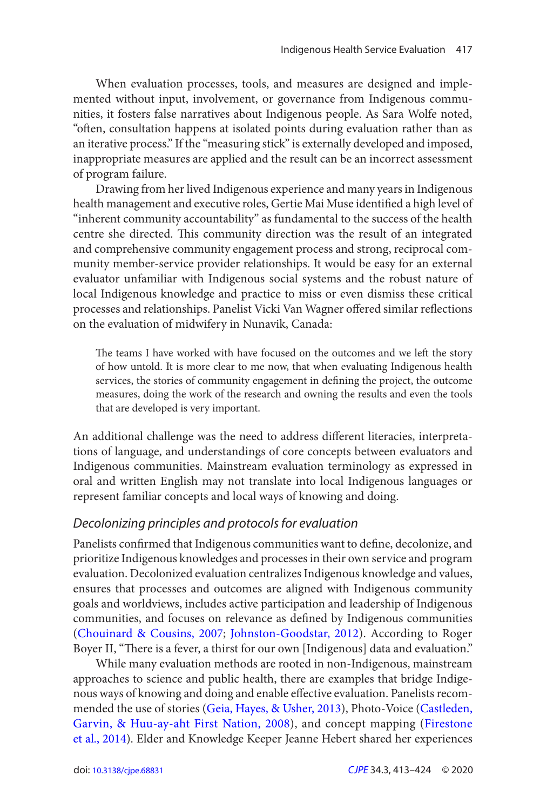<span id="page-4-0"></span>When evaluation processes, tools, and measures are designed and implemented without input, involvement, or governance from Indigenous communities, it fosters false narratives about Indigenous people. As Sara Wolfe noted, "often, consultation happens at isolated points during evaluation rather than as an iterative process." If the "measuring stick" is externally developed and imposed, inappropriate measures are applied and the result can be an incorrect assessment of program failure.

Drawing from her lived Indigenous experience and many years in Indigenous health management and executive roles, Gertie Mai Muse identified a high level of "inherent community accountability" as fundamental to the success of the health centre she directed. This community direction was the result of an integrated and comprehensive community engagement process and strong, reciprocal community member- service provider relationships. It would be easy for an external evaluator unfamiliar with Indigenous social systems and the robust nature of local Indigenous knowledge and practice to miss or even dismiss these critical processes and relationships. Panelist Vicki Van Wagner offered similar reflections on the evaluation of midwifery in Nunavik, Canada:

 The teams I have worked with have focused on the outcomes and we left the story of how untold. It is more clear to me now, that when evaluating Indigenous health services, the stories of community engagement in defining the project, the outcome measures, doing the work of the research and owning the results and even the tools that are developed is very important.

An additional challenge was the need to address different literacies, interpretations of language, and understandings of core concepts between evaluators and Indigenous communities. Mainstream evaluation terminology as expressed in oral and written English may not translate into local Indigenous languages or represent familiar concepts and local ways of knowing and doing.

#### Decolonizing principles and protocols for evaluation

 Panelists confirmed that Indigenous communities want to define, decolonize, and prioritize Indigenous knowledges and processes in their own service and program evaluation. Decolonized evaluation centralizes Indigenous knowledge and values, ensures that processes and outcomes are aligned with Indigenous community goals and worldviews, includes active participation and leadership of Indigenous communities, and focuses on relevance as defined by Indigenous communities ([Chouinard & Cousins, 2007](#page-9-0); [Johnston-Goodstar, 2012](#page-9-0)). According to Roger Boyer II, "There is a fever, a thirst for our own [Indigenous] data and evaluation."

While many evaluation methods are rooted in non-Indigenous, mainstream approaches to science and public health, there are examples that bridge Indigenous ways of knowing and doing and enable effective evaluation. Panelists recommended the use of stories [\(Geia, Hayes, & Usher, 2013](#page-9-0)), Photo-Voice ([Castleden,](#page-9-0) [Garvin, & Huu-ay-aht First Nation, 2008](#page-9-0)), and concept mapping ([Firestone](#page-9-0)  [et al., 2014](#page-9-0)). Elder and Knowledge Keeper Jeanne Hebert shared her experiences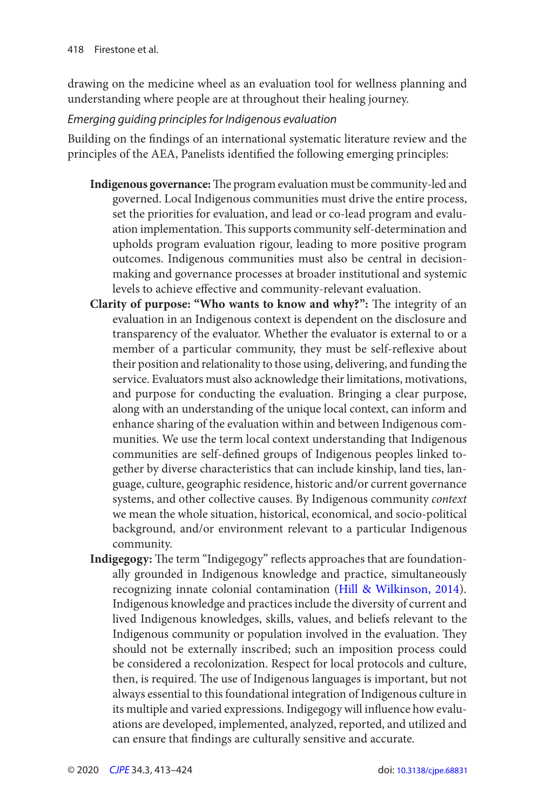<span id="page-5-0"></span>drawing on the medicine wheel as an evaluation tool for wellness planning and understanding where people are at throughout their healing journey.

#### Emerging guiding principles for Indigenous evaluation

Building on the findings of an international systematic literature review and the principles of the AEA, Panelists identified the following emerging principles:

- **Indigenous governance:** The program evaluation must be community-led and governed. Local Indigenous communities must drive the entire process, set the priorities for evaluation, and lead or co-lead program and evaluation implementation. This supports community self-determination and upholds program evaluation rigour, leading to more positive program outcomes. Indigenous communities must also be central in decisionmaking and governance processes at broader institutional and systemic levels to achieve effective and community-relevant evaluation.
- **Clarity of purpose: "Who wants to know and why?":** The integrity of an evaluation in an Indigenous context is dependent on the disclosure and transparency of the evaluator. Whether the evaluator is external to or a member of a particular community, they must be self-reflexive about their position and relationality to those using, delivering, and funding the service. Evaluators must also acknowledge their limitations, motivations, and purpose for conducting the evaluation. Bringing a clear purpose, along with an understanding of the unique local context, can inform and enhance sharing of the evaluation within and between Indigenous communities. We use the term local context understanding that Indigenous communities are self-defined groups of Indigenous peoples linked together by diverse characteristics that can include kinship, land ties, language, culture, geographic residence, historic and/or current governance systems, and other collective causes. By Indigenous community context we mean the whole situation, historical, economical, and socio-political background, and/or environment relevant to a particular Indigenous community.
- **Indigegogy:** The term "Indigegogy" reflects approaches that are foundationally grounded in Indigenous knowledge and practice, simultaneously recognizing innate colonial contamination ([Hill & Wilkinson, 2014\)](#page-9-0). Indigenous knowledge and practices include the diversity of current and lived Indigenous knowledges, skills, values, and beliefs relevant to the Indigenous community or population involved in the evaluation. They should not be externally inscribed; such an imposition process could be considered a recolonization. Respect for local protocols and culture, then, is required. The use of Indigenous languages is important, but not always essential to this foundational integration of Indigenous culture in its multiple and varied expressions. Indigegogy will influence how evaluations are developed, implemented, analyzed, reported, and utilized and can ensure that findings are culturally sensitive and accurate.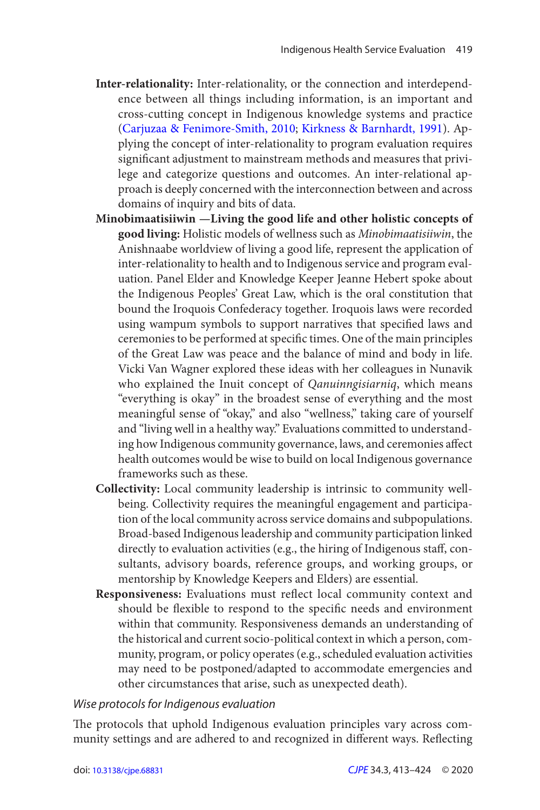- <span id="page-6-0"></span>**Inter-relationality:** Inter-relationality, or the connection and interdependence between all things including information, is an important and cross-cutting concept in Indigenous knowledge systems and practice ([Carjuzaa & Fenimore-Smith, 2010](#page-9-0); [Kirkness & Barnhardt, 1991](#page-10-0)). Applying the concept of inter-relationality to program evaluation requires significant adjustment to mainstream methods and measures that privilege and categorize questions and outcomes. An inter-relational approach is deeply concerned with the interconnection between and across domains of inquiry and bits of data.
- **Minobimaatisiiwin —Living the good life and other holistic concepts of good living:** Holistic models of wellness such as Minobimaatisiiwin , the Anishnaabe worldview of living a good life, represent the application of inter-relationality to health and to Indigenous service and program evaluation. Panel Elder and Knowledge Keeper Jeanne Hebert spoke about the Indigenous Peoples' Great Law, which is the oral constitution that bound the Iroquois Confederacy together. Iroquois laws were recorded using wampum symbols to support narratives that specified laws and ceremonies to be performed at specific times. One of the main principles of the Great Law was peace and the balance of mind and body in life. Vicki Van Wagner explored these ideas with her colleagues in Nunavik who explained the Inuit concept of Qanuinngisiarniq, which means "everything is okay" in the broadest sense of everything and the most meaningful sense of "okay," and also "wellness," taking care of yourself and "living well in a healthy way." Evaluations committed to understanding how Indigenous community governance, laws, and ceremonies affect health outcomes would be wise to build on local Indigenous governance frameworks such as these.
- **Collectivity:** Local community leadership is intrinsic to community wellbeing. Collectivity requires the meaningful engagement and participation of the local community across service domains and subpopulations. Broad-based Indigenous leadership and community participation linked directly to evaluation activities (e.g., the hiring of Indigenous staff, consultants, advisory boards, reference groups, and working groups, or mentorship by Knowledge Keepers and Elders) are essential.
- **Responsiveness:** Evaluations must reflect local community context and should be flexible to respond to the specific needs and environment within that community. Responsiveness demands an understanding of the historical and current socio-political context in which a person, community, program, or policy operates (e.g., scheduled evaluation activities may need to be postponed/adapted to accommodate emergencies and other circumstances that arise, such as unexpected death).

#### Wise protocols for Indigenous evaluation

 The protocols that uphold Indigenous evaluation principles vary across community settings and are adhered to and recognized in different ways. Reflecting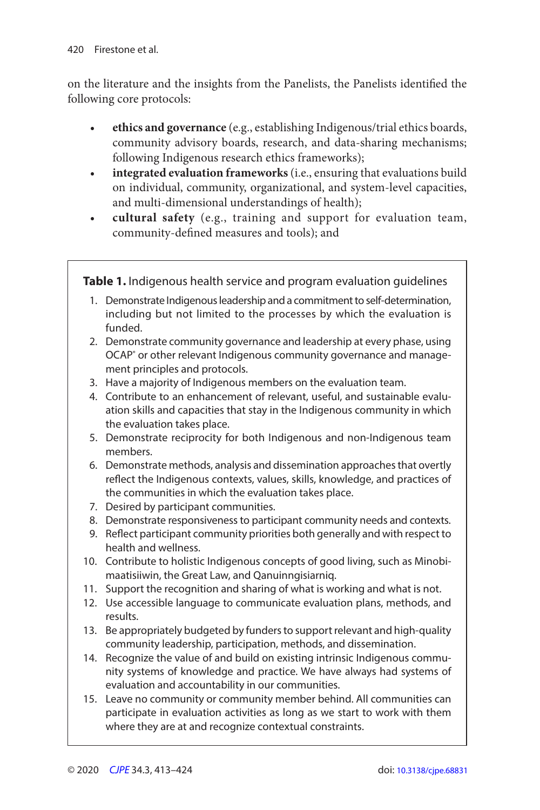<span id="page-7-0"></span>on the literature and the insights from the Panelists, the Panelists identified the following core protocols:

- **ethics and governance** (e.g., establishing Indigenous/trial ethics boards, community advisory boards, research, and data-sharing mechanisms; following Indigenous research ethics frameworks);
- integrated evaluation frameworks (i.e., ensuring that evaluations build on individual, community, organizational, and system-level capacities, and multi-dimensional understandings of health);
- • **cultural safety** (e.g., training and support for evaluation team, community-defined measures and tools); and

**Table 1.** Indigenous health service and program evaluation guidelines

- 1. Demonstrate Indigenous leadership and a commitment to self-determination, including but not limited to the processes by which the evaluation is funded.
- 2. Demonstrate community governance and leadership at every phase, using OCAP<sup>®</sup> or other relevant Indigenous community governance and management principles and protocols.
- 3. Have a majority of Indigenous members on the evaluation team.
- 4. Contribute to an enhancement of relevant, useful, and sustainable evaluation skills and capacities that stay in the Indigenous community in which the evaluation takes place.
- 5. Demonstrate reciprocity for both Indigenous and non-Indigenous team members.
- 6. Demonstrate methods, analysis and dissemination approaches that overtly reflect the Indigenous contexts, values, skills, knowledge, and practices of the communities in which the evaluation takes place.
- 7. Desired by participant communities.
- 8. Demonstrate responsiveness to participant community needs and contexts.
- 9. Reflect participant community priorities both generally and with respect to health and wellness.
- 10. Contribute to holistic Indigenous concepts of good living, such as Minobimaatisiiwin, the Great Law, and Qanuinngisiarniq.
- 11. Support the recognition and sharing of what is working and what is not.
- 12. Use accessible language to communicate evaluation plans, methods, and results.
- 13. Be appropriately budgeted by funders to support relevant and high-quality community leadership, participation, methods, and dissemination.
- 14. Recognize the value of and build on existing intrinsic Indigenous community systems of knowledge and practice. We have always had systems of evaluation and accountability in our communities.
- 15. Leave no community or community member behind. All communities can participate in evaluation activities as long as we start to work with them where they are at and recognize contextual constraints.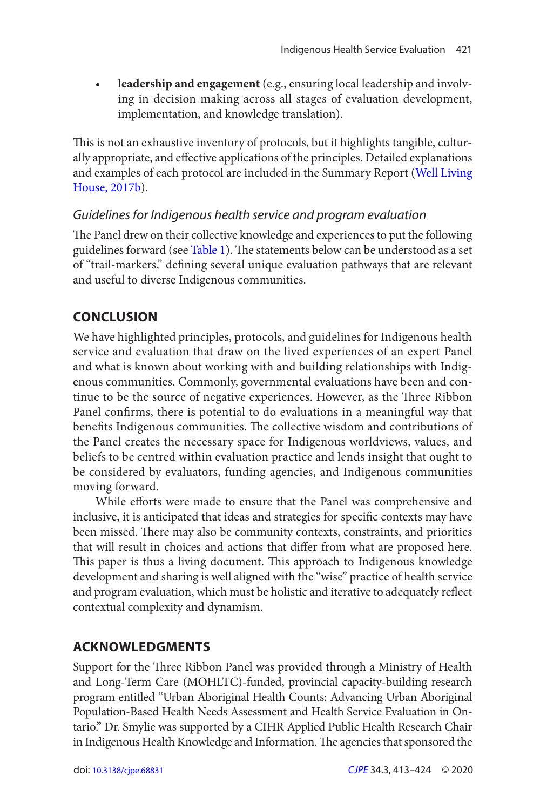• **leadership and engagement** (e.g., ensuring local leadership and involving in decision making across all stages of evaluation development, implementation, and knowledge translation).

 This is not an exhaustive inventory of protocols, but it highlights tangible, culturally appropriate, and effective applications of the principles. Detailed explanations and examples of each protocol are included in the Summary Report ([Well Living](#page-10-0) House, 2017b).

#### Guidelines for Indigenous health service and program evaluation

 The Panel drew on their collective knowledge and experiences to put the following guidelines forward (see [Table 1](#page-7-0)). The statements below can be understood as a set of "trail-markers," defining several unique evaluation pathways that are relevant and useful to diverse Indigenous communities.

## **CONCLUSION**

We have highlighted principles, protocols, and guidelines for Indigenous health service and evaluation that draw on the lived experiences of an expert Panel and what is known about working with and building relationships with Indigenous communities. Commonly, governmental evaluations have been and continue to be the source of negative experiences. However, as the Three Ribbon Panel confirms, there is potential to do evaluations in a meaningful way that benefits Indigenous communities. The collective wisdom and contributions of the Panel creates the necessary space for Indigenous worldviews, values, and beliefs to be centred within evaluation practice and lends insight that ought to be considered by evaluators, funding agencies, and Indigenous communities moving forward.

 While efforts were made to ensure that the Panel was comprehensive and inclusive, it is anticipated that ideas and strategies for specific contexts may have been missed. There may also be community contexts, constraints, and priorities that will result in choices and actions that differ from what are proposed here. This paper is thus a living document. This approach to Indigenous knowledge development and sharing is well aligned with the "wise" practice of health service and program evaluation, which must be holistic and iterative to adequately reflect contextual complexity and dynamism.

## **ACKNOWLEDGMENTS**

Support for the Three Ribbon Panel was provided through a Ministry of Health and Long-Term Care (MOHLTC)-funded, provincial capacity-building research program entitled "Urban Aboriginal Health Counts: Advancing Urban Aboriginal Population-Based Health Needs Assessment and Health Service Evaluation in Ontario." Dr. Smylie was supported by a CIHR Applied Public Health Research Chair in Indigenous Health Knowledge and Information. The agencies that sponsored the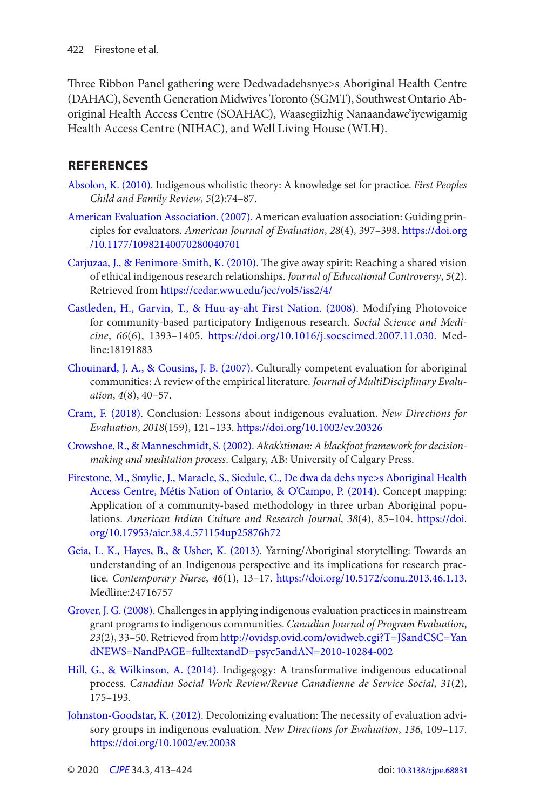<span id="page-9-0"></span>Three Ribbon Panel gathering were Dedwadadehsnye>s Aboriginal Health Centre (DAHAC), Seventh Generation Midwives Toronto (SGMT), Southwest Ontario Aboriginal Health Access Centre (SOAHAC), Waasegiizhig Nanaandawe'iyewigamig Health Access Centre (NIHAC), and Well Living House (WLH).

## **REFERENCES**

- Absolon, K. (2010). Indigenous wholistic theory: A knowledge set for practice. First Peoples Child and Family Review, 5(2):74-87.
- [American Evaluation Association . \( 2007 \)](#page-2-0). American evaluation association: Guiding principles for evaluators. American Journal of Evaluation, 28(4), 397-398. https://doi.org [/10.1177/10982140070280040701](https://doi.org//10.1177/10982140070280040701)
- Carjuzaa, J., & Fenimore-Smith, K. (2010). The give away spirit: Reaching a shared vision of ethical indigenous research relationships. Journal of Educational Controversy, 5(2). Retrieved from <https://cedar.wwu.edu/jec/vol5/iss2/4/>
- Castleden, H., Garvin, T., & Huu-ay-aht First Nation. (2008). Modifying Photovoice for community-based participatory Indigenous research. Social Science and Medicine, 66(6), 1393-1405. <https://doi.org/10.1016/j.socscimed.2007.11.030>. Medline:18191883
- Chouinard, J. A., & Cousins, J. B. (2007). Culturally competent evaluation for aboriginal communities: A review of the empirical literature. Journal of MultiDisciplinary Evaluation,  $4(8)$ ,  $40-57$ .
- Cram, F. (2018). Conclusion: Lessons about indigenous evaluation. New Directions for Evaluation, 2018( 159 ), 121 – 133 .<https://doi.org/10.1002/ev.20326>
- [Crowshoe , R. , & Manneschmidt , S. \( 2002 \)](#page-3-0). Akak'stiman: A blackfoot framework for decisionmaking and meditation process. Calgary, AB: University of Calgary Press.
- [Firestone , M. , Smylie , J. , Maracle , S. , Siedule , C. , De dwa da dehs nye>s Aboriginal Health](#page-4-0) [Access Centre, Métis Nation of Ontario, & O'Campo, P. \( 2014 \)](#page-4-0). Concept mapping: Application of a community-based methodology in three urban Aboriginal populations. American Indian Culture and Research Journal, 38(4), 85-104. https://doi. [org/10.17953/aicr.38.4.571154up25876h72](https://doi.org/10.17953/aicr.38.4.571154up25876h72)
- Geia, L. K., Hayes, B., & Usher, K. (2013). Yarning/Aboriginal storytelling: Towards an understanding of an Indigenous perspective and its implications for research practice. Contemporary Nurse, 46(1), 13-17. <https://doi.org/10.5172/conu.2013.46.1.13>. Medline:24716757
- Grover, J. G. (2008). Challenges in applying indigenous evaluation practices in mainstream grant programs to indigenous communities . Canadian Journal of Program Evaluation, 23(2), 33-50. Retrieved from http://ovidsp.ovid.com/ovidweb.cgi?T=JSandCSC=Yan [dNEWS=NandPAGE=fulltextandD=psyc5andAN=2010-10284-002](http://ovidsp.ovid.com/ovidweb.cgi?T=JSandCSC=YandNEWS=NandPAGE=fulltextandD=psyc5andAN=2010-10284-002)
- Hill, G., & Wilkinson, A. (2014). Indigegogy: A transformative indigenous educational process. Canadian Social Work Review/Revue Canadienne de Service Social, 31(2), 175 – 193 .
- Johnston-Goodstar, K. (2012). Decolonizing evaluation: The necessity of evaluation advisory groups in indigenous evaluation. New Directions for Evaluation, 136, 109-117. <https://doi.org/10.1002/ev.20038>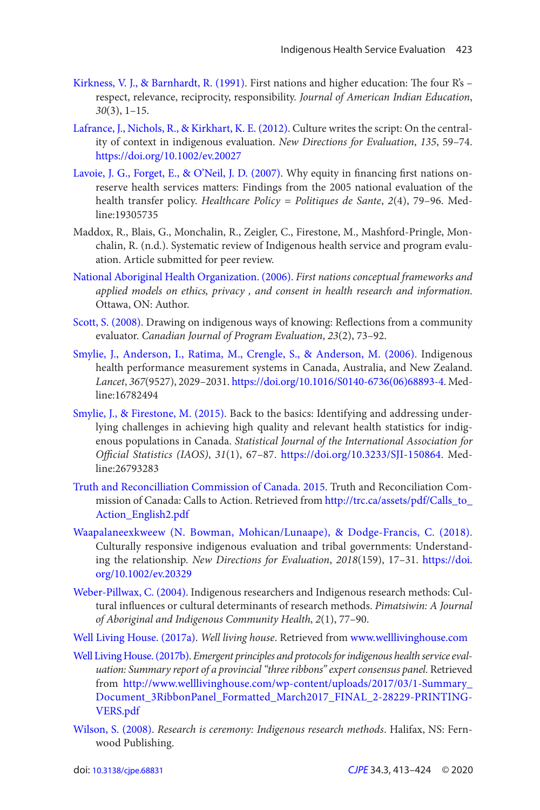- <span id="page-10-0"></span>Kirkness, V. J., & Barnhardt, R. (1991). First nations and higher education: The four R's respect, relevance, reciprocity, responsibility. Journal of American Indian Education,  $30(3)$ , 1-15.
- Lafrance, J., Nichols, R., & Kirkhart, K. E. (2012). Culture writes the script: On the centrality of context in indigenous evaluation. New Directions for Evaluation, 135, 59-74. <https://doi.org/10.1002/ev.20027>
- Lavoie, J. G., Forget, E., & O'Neil, J. D. (2007). Why equity in financing first nations onreserve health services matters: Findings from the 2005 national evaluation of the health transfer policy. Healthcare Policy = Politiques de Sante, 2(4), 79-96. Medline:19305735
- Maddox, R., Blais, G., Monchalin, R., Zeigler, C., Firestone, M., Mashford-Pringle, Monchalin, R. (n.d.). Systematic review of Indigenous health service and program evaluation. Article submitted for peer review.
- National Aboriginal Health Organization. (2006). First nations conceptual frameworks and applied models on ethics, privacy , and consent in health research and information. Ottawa, ON: Author.
- Scott, S. (2008). Drawing on indigenous ways of knowing: Reflections from a community evaluator. Canadian Journal of Program Evaluation, 23(2), 73-92.
- Smylie, J., Anderson, I., Ratima, M., Crengle, S., & Anderson, M. (2006). Indigenous health performance measurement systems in Canada, Australia, and New Zealand. Lancet, 367(9527), 2029-2031. [https://doi.org/10.1016/S0140-6736\(06\)68893-4](https://doi.org/10.1016/S0140-6736(06)68893-4). Medline:16782494
- Smylie, J., & Firestone, M. (2015). Back to the basics: Identifying and addressing underlying challenges in achieving high quality and relevant health statistics for indigenous populations in Canada. Statistical Journal of the International Association for Official Statistics (IAOS), 31(1), 67-87. <https://doi.org/10.3233/SJI-150864>. Medline:26793283
- [Truth and Reconcilliation Commission of Canada . 2015.](#page-2-0) Truth and Reconciliation Commission of Canada: Calls to Action . Retrieved from [http://trc.ca/assets/pdf/Calls\\_to\\_](http://trc.ca/assets/pdf/Calls_to_Action_English2.pdf)  [Action\\_English2.pdf](http://trc.ca/assets/pdf/Calls_to_Action_English2.pdf)
- Waapalaneexkweew (N. Bowman, Mohican/Lunaape), & Dodge-Francis, C. (2018). Culturally responsive indigenous evaluation and tribal governments: Understanding the relationship. New Directions for Evaluation, 2018(159), 17-31. https://doi. [org/10.1002/ev.20329](https://doi.org/10.1002/ev.20329)
- Weber-Pillwax, C. (2004). Indigenous researchers and Indigenous research methods: Cultural influences or cultural determinants of research methods . Pimatsiwin: A Journal of Aboriginal and Indigenous Community Health, 2(1), 77-90.
- Well Living House. (2017a). Well living house. Retrieved from [www.welllivinghouse.com](http://www.welllivinghouse.com)
- Well Living House. (2017b). Emergent principles and protocols for indigenous health service evaluation: Summary report of a provincial "three ribbons" expert consensus panel. Retrieved from [http://www.welllivinghouse.com/wp-content/uploads/2017/03/1-Summary\\_](http://www.welllivinghouse.com/wp-content/uploads/2017/03/1-Summary_Document_3RibbonPanel_Formatted_March2017_FINAL_2-28229-PRINTING-VERS.pdf)  [Document\\_3RibbonPanel\\_Formatted\\_March2017\\_FINAL\\_2-28229-PRINTING-](http://www.welllivinghouse.com/wp-content/uploads/2017/03/1-Summary_Document_3RibbonPanel_Formatted_March2017_FINAL_2-28229-PRINTING-VERS.pdf)[VERS.pdf](http://www.welllivinghouse.com/wp-content/uploads/2017/03/1-Summary_Document_3RibbonPanel_Formatted_March2017_FINAL_2-28229-PRINTING-VERS.pdf)
- Wilson, S. (2008). Research is ceremony: Indigenous research methods. Halifax, NS: Fernwood Publishing.